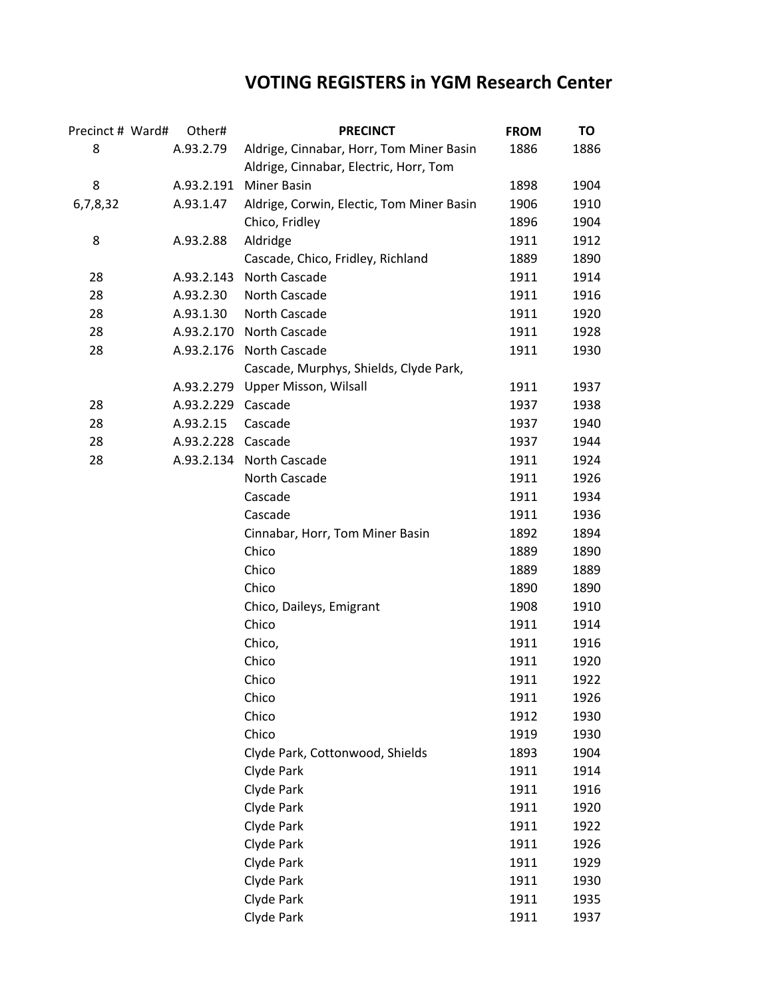## **VOTING REGISTERS in YGM Research Center**

| Precinct # Ward# | Other#             | <b>PRECINCT</b>                           | <b>FROM</b> | TO   |
|------------------|--------------------|-------------------------------------------|-------------|------|
| 8                | A.93.2.79          | Aldrige, Cinnabar, Horr, Tom Miner Basin  | 1886        | 1886 |
|                  |                    | Aldrige, Cinnabar, Electric, Horr, Tom    |             |      |
| 8                |                    | A.93.2.191 Miner Basin                    | 1898        | 1904 |
| 6,7,8,32         | A.93.1.47          | Aldrige, Corwin, Electic, Tom Miner Basin | 1906        | 1910 |
|                  |                    | Chico, Fridley                            | 1896        | 1904 |
| 8                | A.93.2.88          | Aldridge                                  | 1911        | 1912 |
|                  |                    | Cascade, Chico, Fridley, Richland         | 1889        | 1890 |
| 28               | A.93.2.143         | North Cascade                             | 1911        | 1914 |
| 28               | A.93.2.30          | North Cascade                             | 1911        | 1916 |
| 28               | A.93.1.30          | North Cascade                             | 1911        | 1920 |
| 28               |                    | A.93.2.170 North Cascade                  | 1911        | 1928 |
| 28               |                    | A.93.2.176 North Cascade                  | 1911        | 1930 |
|                  |                    | Cascade, Murphys, Shields, Clyde Park,    |             |      |
|                  |                    | A.93.2.279 Upper Misson, Wilsall          | 1911        | 1937 |
| 28               | A.93.2.229         | Cascade                                   | 1937        | 1938 |
| 28               | A.93.2.15          | Cascade                                   | 1937        | 1940 |
| 28               | A.93.2.228 Cascade |                                           | 1937        | 1944 |
| 28               |                    | A.93.2.134 North Cascade                  | 1911        | 1924 |
|                  |                    | North Cascade                             | 1911        | 1926 |
|                  |                    | Cascade                                   | 1911        | 1934 |
|                  |                    | Cascade                                   | 1911        | 1936 |
|                  |                    | Cinnabar, Horr, Tom Miner Basin           | 1892        | 1894 |
|                  |                    | Chico                                     | 1889        | 1890 |
|                  |                    | Chico                                     | 1889        | 1889 |
|                  |                    | Chico                                     | 1890        | 1890 |
|                  |                    | Chico, Daileys, Emigrant                  | 1908        | 1910 |
|                  |                    | Chico                                     | 1911        | 1914 |
|                  |                    | Chico,                                    | 1911        | 1916 |
|                  |                    | Chico                                     | 1911        | 1920 |
|                  |                    | Chico                                     | 1911        | 1922 |
|                  |                    | Chico                                     | 1911        | 1926 |
|                  |                    | Chico                                     | 1912        | 1930 |
|                  |                    | Chico                                     | 1919        | 1930 |
|                  |                    | Clyde Park, Cottonwood, Shields           | 1893        | 1904 |
|                  |                    | Clyde Park                                | 1911        | 1914 |
|                  |                    | Clyde Park                                | 1911        | 1916 |
|                  |                    | Clyde Park                                | 1911        | 1920 |
|                  |                    | Clyde Park                                | 1911        | 1922 |
|                  |                    | Clyde Park                                | 1911        | 1926 |
|                  |                    | Clyde Park                                | 1911        | 1929 |
|                  |                    | Clyde Park                                | 1911        | 1930 |
|                  |                    | Clyde Park                                | 1911        | 1935 |
|                  |                    | Clyde Park                                | 1911        | 1937 |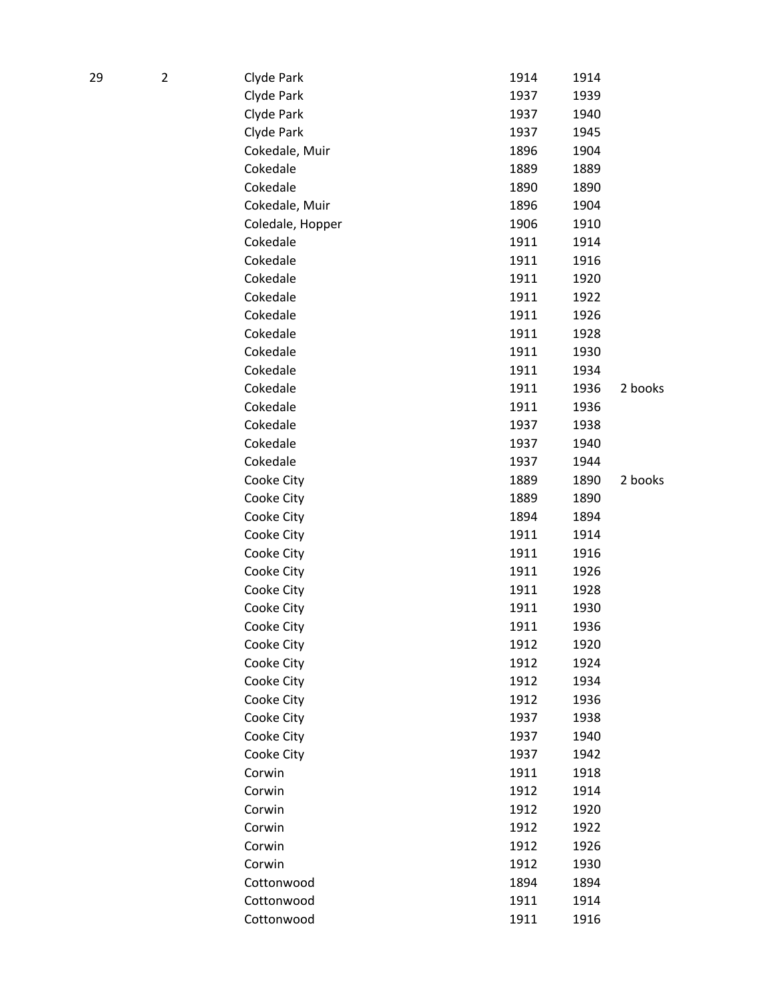| 29 | $\overline{2}$ | Clyde Park       | 1914 | 1914 |         |
|----|----------------|------------------|------|------|---------|
|    |                | Clyde Park       | 1937 | 1939 |         |
|    |                | Clyde Park       | 1937 | 1940 |         |
|    |                | Clyde Park       | 1937 | 1945 |         |
|    |                | Cokedale, Muir   | 1896 | 1904 |         |
|    |                | Cokedale         | 1889 | 1889 |         |
|    |                | Cokedale         | 1890 | 1890 |         |
|    |                | Cokedale, Muir   | 1896 | 1904 |         |
|    |                | Coledale, Hopper | 1906 | 1910 |         |
|    |                | Cokedale         | 1911 | 1914 |         |
|    |                | Cokedale         | 1911 | 1916 |         |
|    |                | Cokedale         | 1911 | 1920 |         |
|    |                | Cokedale         | 1911 | 1922 |         |
|    |                | Cokedale         | 1911 | 1926 |         |
|    |                | Cokedale         | 1911 | 1928 |         |
|    |                | Cokedale         | 1911 | 1930 |         |
|    |                | Cokedale         | 1911 | 1934 |         |
|    |                | Cokedale         | 1911 | 1936 | 2 books |
|    |                | Cokedale         | 1911 | 1936 |         |
|    |                | Cokedale         | 1937 | 1938 |         |
|    |                | Cokedale         | 1937 | 1940 |         |
|    |                | Cokedale         | 1937 | 1944 |         |
|    |                | Cooke City       | 1889 | 1890 | 2 books |
|    |                | Cooke City       | 1889 | 1890 |         |
|    |                | Cooke City       | 1894 | 1894 |         |
|    |                | Cooke City       | 1911 | 1914 |         |
|    |                | Cooke City       | 1911 | 1916 |         |
|    |                | Cooke City       | 1911 | 1926 |         |
|    |                | Cooke City       | 1911 | 1928 |         |
|    |                | Cooke City       | 1911 | 1930 |         |
|    |                | Cooke City       | 1911 | 1936 |         |
|    |                | Cooke City       | 1912 | 1920 |         |
|    |                | Cooke City       | 1912 | 1924 |         |
|    |                | Cooke City       | 1912 | 1934 |         |
|    |                | Cooke City       | 1912 | 1936 |         |
|    |                | Cooke City       | 1937 | 1938 |         |
|    |                | Cooke City       | 1937 | 1940 |         |
|    |                | Cooke City       | 1937 | 1942 |         |
|    |                | Corwin           | 1911 | 1918 |         |
|    |                | Corwin           | 1912 | 1914 |         |
|    |                | Corwin           | 1912 | 1920 |         |
|    |                | Corwin           | 1912 | 1922 |         |
|    |                | Corwin           | 1912 | 1926 |         |
|    |                | Corwin           | 1912 | 1930 |         |
|    |                | Cottonwood       | 1894 | 1894 |         |
|    |                | Cottonwood       | 1911 | 1914 |         |
|    |                | Cottonwood       | 1911 | 1916 |         |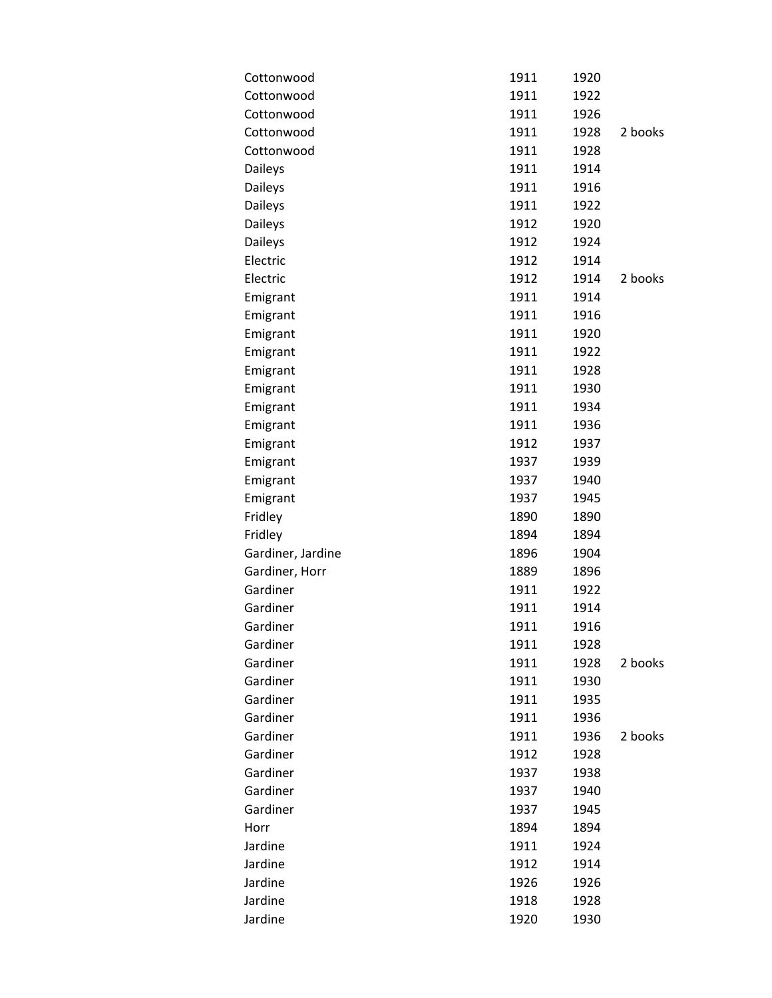| Cottonwood        | 1911 | 1920 |         |
|-------------------|------|------|---------|
| Cottonwood        | 1911 | 1922 |         |
| Cottonwood        | 1911 | 1926 |         |
| Cottonwood        | 1911 | 1928 | 2 books |
| Cottonwood        | 1911 | 1928 |         |
| Daileys           | 1911 | 1914 |         |
| Daileys           | 1911 | 1916 |         |
| Daileys           | 1911 | 1922 |         |
| Daileys           | 1912 | 1920 |         |
| <b>Daileys</b>    | 1912 | 1924 |         |
| Electric          | 1912 | 1914 |         |
| Electric          | 1912 | 1914 | 2 books |
| Emigrant          | 1911 | 1914 |         |
| Emigrant          | 1911 | 1916 |         |
| Emigrant          | 1911 | 1920 |         |
| Emigrant          | 1911 | 1922 |         |
| Emigrant          | 1911 | 1928 |         |
| Emigrant          | 1911 | 1930 |         |
| Emigrant          | 1911 | 1934 |         |
| Emigrant          | 1911 | 1936 |         |
| Emigrant          | 1912 | 1937 |         |
| Emigrant          | 1937 | 1939 |         |
| Emigrant          | 1937 | 1940 |         |
| Emigrant          | 1937 | 1945 |         |
| Fridley           | 1890 | 1890 |         |
| Fridley           | 1894 | 1894 |         |
| Gardiner, Jardine | 1896 | 1904 |         |
| Gardiner, Horr    | 1889 | 1896 |         |
| Gardiner          | 1911 | 1922 |         |
| Gardiner          | 1911 | 1914 |         |
| Gardiner          | 1911 | 1916 |         |
| Gardiner          | 1911 | 1928 |         |
| Gardiner          | 1911 | 1928 | 2 books |
| Gardiner          | 1911 | 1930 |         |
| Gardiner          | 1911 | 1935 |         |
| Gardiner          | 1911 | 1936 |         |
| Gardiner          | 1911 | 1936 | 2 books |
| Gardiner          | 1912 | 1928 |         |
| Gardiner          | 1937 | 1938 |         |
| Gardiner          | 1937 | 1940 |         |
| Gardiner          | 1937 | 1945 |         |
| Horr              | 1894 | 1894 |         |
| Jardine           | 1911 | 1924 |         |
| Jardine           | 1912 | 1914 |         |
| Jardine           | 1926 | 1926 |         |
| Jardine           | 1918 | 1928 |         |
| Jardine           | 1920 | 1930 |         |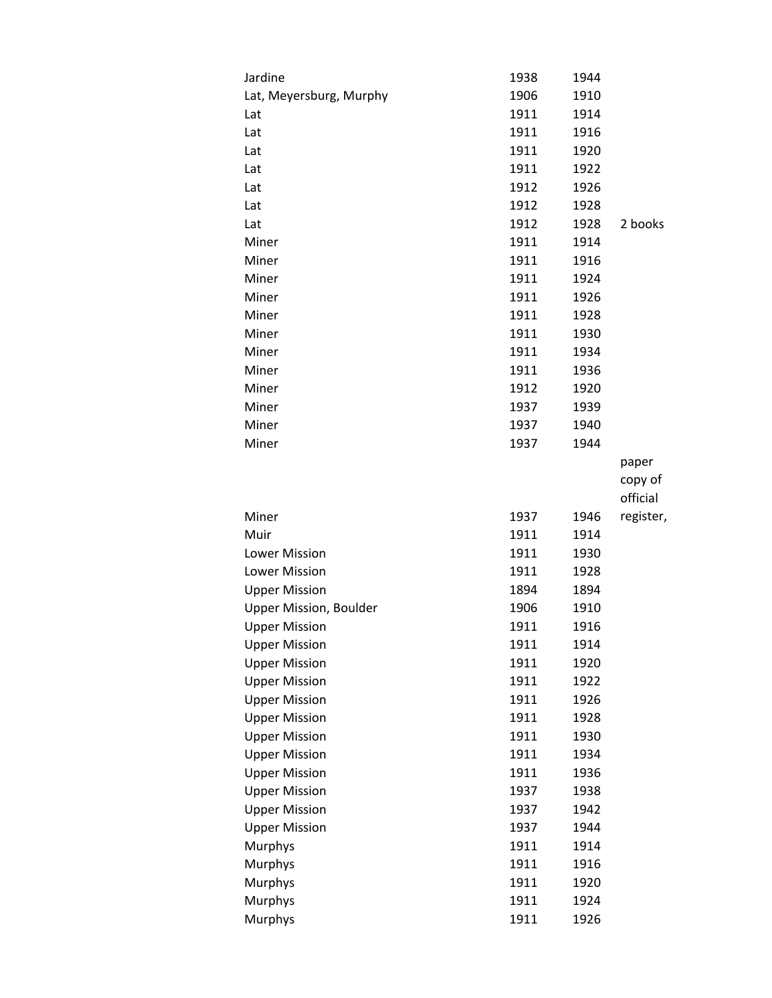| Jardine                       | 1938         | 1944         |           |
|-------------------------------|--------------|--------------|-----------|
| Lat, Meyersburg, Murphy       | 1906         | 1910         |           |
| Lat                           | 1911         | 1914         |           |
| Lat                           | 1911         | 1916         |           |
| Lat                           | 1911         | 1920         |           |
| Lat                           | 1911         | 1922         |           |
| Lat                           | 1912         | 1926         |           |
| Lat                           | 1912         | 1928         |           |
| Lat                           | 1912         | 1928         | 2 books   |
| Miner                         | 1911         | 1914         |           |
| Miner                         | 1911         | 1916         |           |
| Miner                         | 1911         | 1924         |           |
| Miner                         | 1911         | 1926         |           |
| Miner                         | 1911         | 1928         |           |
| Miner                         | 1911         | 1930         |           |
| Miner                         | 1911         | 1934         |           |
| Miner                         | 1911         | 1936         |           |
| Miner                         | 1912         | 1920         |           |
| Miner                         | 1937         | 1939         |           |
| Miner                         | 1937         | 1940         |           |
| Miner                         | 1937         | 1944         |           |
|                               |              |              | paper     |
|                               |              |              | copy of   |
|                               |              |              |           |
|                               |              |              | official  |
| Miner                         | 1937         | 1946         | register, |
| Muir                          | 1911         | 1914         |           |
| Lower Mission                 | 1911         | 1930         |           |
| Lower Mission                 | 1911         | 1928         |           |
| <b>Upper Mission</b>          | 1894         | 1894         |           |
| <b>Upper Mission, Boulder</b> | 1906         | 1910         |           |
| <b>Upper Mission</b>          | 1911         | 1916         |           |
| <b>Upper Mission</b>          | 1911         | 1914         |           |
| <b>Upper Mission</b>          | 1911         | 1920         |           |
| <b>Upper Mission</b>          | 1911         | 1922         |           |
| <b>Upper Mission</b>          | 1911         | 1926         |           |
| <b>Upper Mission</b>          | 1911         | 1928         |           |
| <b>Upper Mission</b>          | 1911         | 1930         |           |
| <b>Upper Mission</b>          | 1911         | 1934         |           |
| <b>Upper Mission</b>          | 1911         | 1936         |           |
| <b>Upper Mission</b>          | 1937         | 1938         |           |
| <b>Upper Mission</b>          | 1937         | 1942         |           |
| <b>Upper Mission</b>          | 1937         | 1944         |           |
| <b>Murphys</b>                | 1911         | 1914         |           |
| Murphys                       | 1911         | 1916         |           |
| Murphys                       | 1911         | 1920         |           |
| Murphys<br>Murphys            | 1911<br>1911 | 1924<br>1926 |           |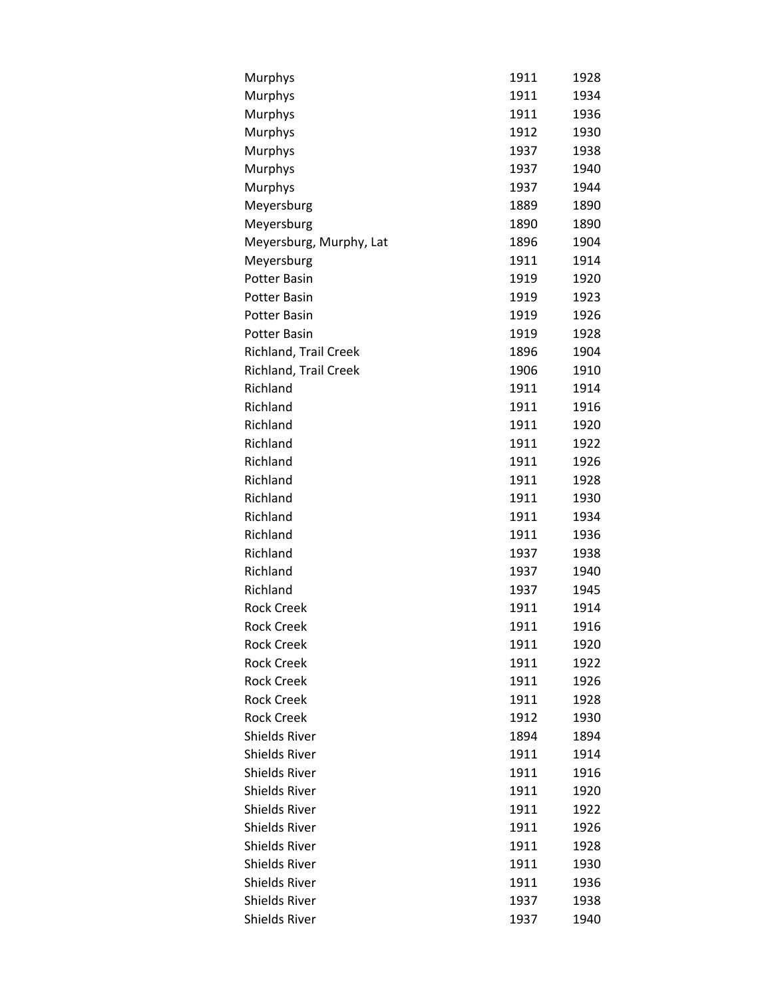| Murphys                 | 1911 | 1928 |
|-------------------------|------|------|
| Murphys                 | 1911 | 1934 |
| Murphys                 | 1911 | 1936 |
| Murphys                 | 1912 | 1930 |
| Murphys                 | 1937 | 1938 |
| Murphys                 | 1937 | 1940 |
| Murphys                 | 1937 | 1944 |
| Meyersburg              | 1889 | 1890 |
| Meyersburg              | 1890 | 1890 |
| Meyersburg, Murphy, Lat | 1896 | 1904 |
| Meyersburg              | 1911 | 1914 |
| <b>Potter Basin</b>     | 1919 | 1920 |
| <b>Potter Basin</b>     | 1919 | 1923 |
| <b>Potter Basin</b>     | 1919 | 1926 |
| <b>Potter Basin</b>     | 1919 | 1928 |
| Richland, Trail Creek   | 1896 | 1904 |
| Richland, Trail Creek   | 1906 | 1910 |
| Richland                | 1911 | 1914 |
| Richland                | 1911 | 1916 |
| Richland                | 1911 | 1920 |
| Richland                | 1911 | 1922 |
| Richland                | 1911 | 1926 |
| Richland                | 1911 | 1928 |
| Richland                | 1911 | 1930 |
| Richland                | 1911 | 1934 |
| Richland                | 1911 | 1936 |
| Richland                | 1937 | 1938 |
| Richland                | 1937 | 1940 |
| Richland                | 1937 | 1945 |
| <b>Rock Creek</b>       | 1911 | 1914 |
| <b>Rock Creek</b>       | 1911 | 1916 |
| <b>Rock Creek</b>       | 1911 | 1920 |
| <b>Rock Creek</b>       | 1911 | 1922 |
| <b>Rock Creek</b>       | 1911 | 1926 |
| <b>Rock Creek</b>       | 1911 | 1928 |
| <b>Rock Creek</b>       | 1912 | 1930 |
| <b>Shields River</b>    | 1894 | 1894 |
| <b>Shields River</b>    | 1911 | 1914 |
| <b>Shields River</b>    | 1911 | 1916 |
| <b>Shields River</b>    | 1911 | 1920 |
| <b>Shields River</b>    | 1911 | 1922 |
| <b>Shields River</b>    | 1911 | 1926 |
| <b>Shields River</b>    | 1911 | 1928 |
| <b>Shields River</b>    | 1911 | 1930 |
| <b>Shields River</b>    | 1911 | 1936 |
| <b>Shields River</b>    | 1937 | 1938 |
| <b>Shields River</b>    | 1937 | 1940 |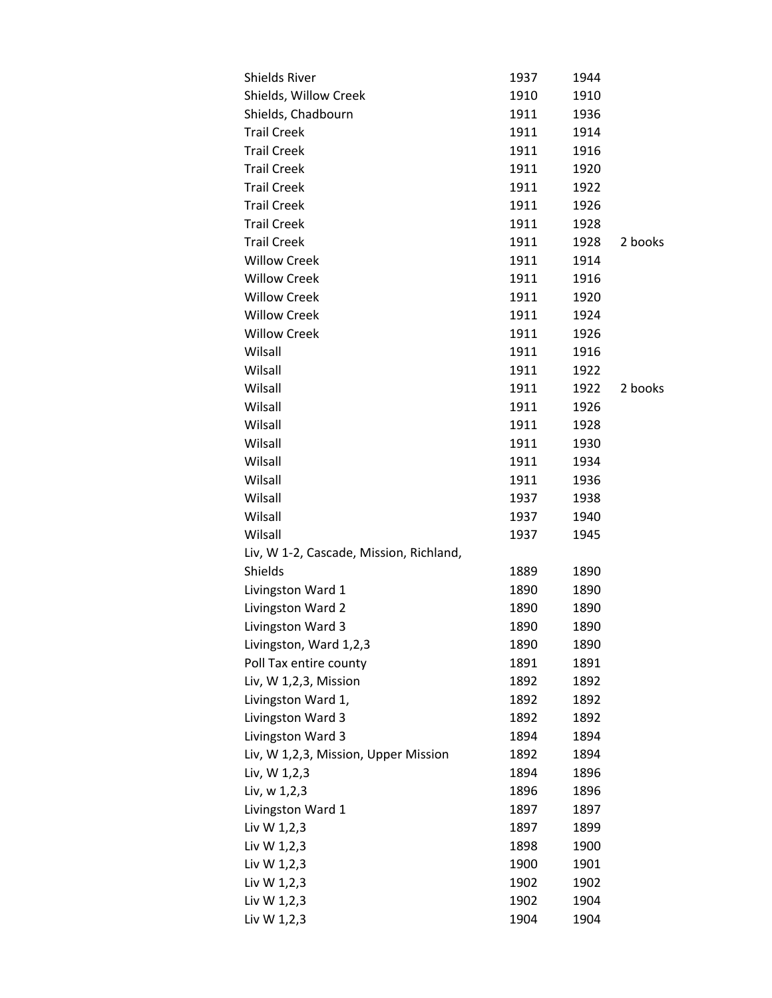| <b>Shields River</b>                    | 1937 | 1944 |         |
|-----------------------------------------|------|------|---------|
| Shields, Willow Creek                   | 1910 | 1910 |         |
| Shields, Chadbourn                      | 1911 | 1936 |         |
| <b>Trail Creek</b>                      | 1911 | 1914 |         |
| <b>Trail Creek</b>                      | 1911 | 1916 |         |
| <b>Trail Creek</b>                      | 1911 | 1920 |         |
| <b>Trail Creek</b>                      | 1911 | 1922 |         |
| <b>Trail Creek</b>                      | 1911 | 1926 |         |
| <b>Trail Creek</b>                      | 1911 | 1928 |         |
| <b>Trail Creek</b>                      | 1911 | 1928 | 2 books |
| <b>Willow Creek</b>                     | 1911 | 1914 |         |
| <b>Willow Creek</b>                     | 1911 | 1916 |         |
| <b>Willow Creek</b>                     | 1911 | 1920 |         |
| <b>Willow Creek</b>                     | 1911 | 1924 |         |
| <b>Willow Creek</b>                     | 1911 | 1926 |         |
| Wilsall                                 | 1911 | 1916 |         |
| Wilsall                                 | 1911 | 1922 |         |
| Wilsall                                 | 1911 | 1922 | 2 books |
| Wilsall                                 | 1911 | 1926 |         |
| Wilsall                                 | 1911 | 1928 |         |
| Wilsall                                 | 1911 | 1930 |         |
| Wilsall                                 | 1911 | 1934 |         |
| Wilsall                                 | 1911 | 1936 |         |
| Wilsall                                 | 1937 | 1938 |         |
| Wilsall                                 | 1937 | 1940 |         |
| Wilsall                                 | 1937 | 1945 |         |
| Liv, W 1-2, Cascade, Mission, Richland, |      |      |         |
| Shields                                 | 1889 | 1890 |         |
| Livingston Ward 1                       | 1890 | 1890 |         |
| Livingston Ward 2                       | 1890 | 1890 |         |
| Livingston Ward 3                       | 1890 | 1890 |         |
| Livingston, Ward 1,2,3                  | 1890 | 1890 |         |
| Poll Tax entire county                  | 1891 | 1891 |         |
| Liv, W 1,2,3, Mission                   | 1892 | 1892 |         |
| Livingston Ward 1,                      | 1892 | 1892 |         |
| Livingston Ward 3                       | 1892 | 1892 |         |
| Livingston Ward 3                       | 1894 | 1894 |         |
| Liv, W 1,2,3, Mission, Upper Mission    | 1892 | 1894 |         |
| Liv, W 1,2,3                            | 1894 | 1896 |         |
| Liv, w 1,2,3                            | 1896 | 1896 |         |
| Livingston Ward 1                       | 1897 | 1897 |         |
| Liv W 1,2,3                             | 1897 | 1899 |         |
| Liv W 1,2,3                             | 1898 | 1900 |         |
| Liv W 1,2,3                             | 1900 | 1901 |         |
| Liv W 1,2,3                             | 1902 | 1902 |         |
| Liv W 1,2,3                             | 1902 | 1904 |         |
| Liv W 1,2,3                             | 1904 | 1904 |         |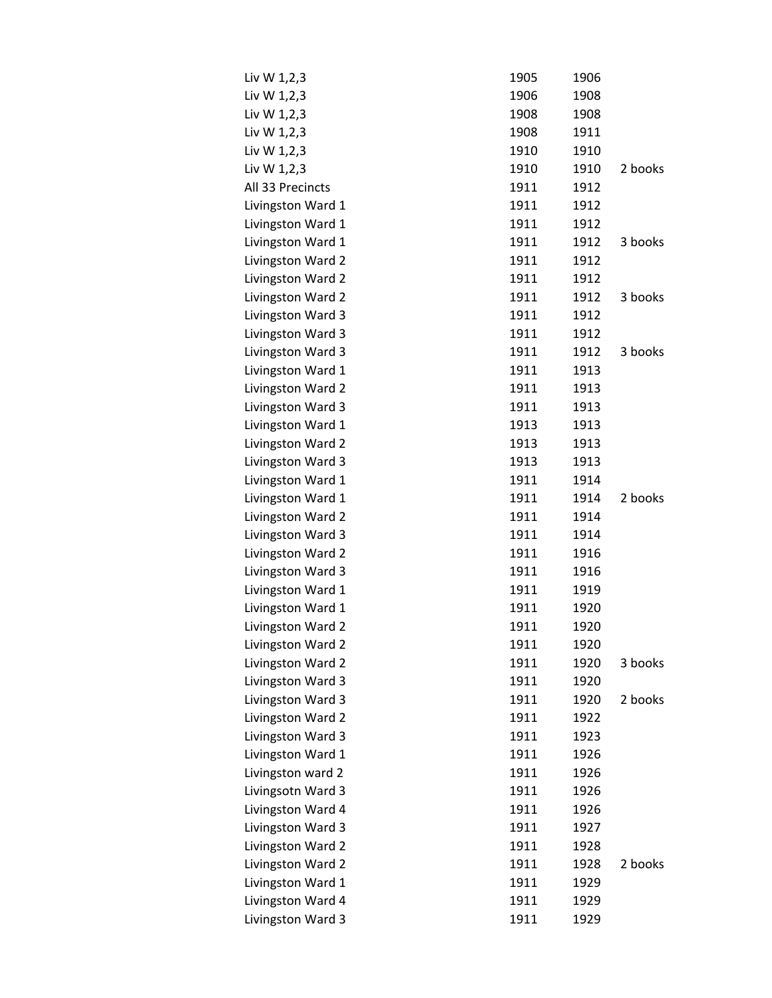| Liv W 1,2,3       | 1905 | 1906 |         |
|-------------------|------|------|---------|
| Liv W 1,2,3       | 1906 | 1908 |         |
| Liv W 1,2,3       | 1908 | 1908 |         |
| Liv W 1,2,3       | 1908 | 1911 |         |
| Liv W 1,2,3       | 1910 | 1910 |         |
| Liv W 1,2,3       | 1910 | 1910 | 2 books |
| All 33 Precincts  | 1911 | 1912 |         |
| Livingston Ward 1 | 1911 | 1912 |         |
| Livingston Ward 1 | 1911 | 1912 |         |
| Livingston Ward 1 | 1911 | 1912 | 3 books |
| Livingston Ward 2 | 1911 | 1912 |         |
| Livingston Ward 2 | 1911 | 1912 |         |
| Livingston Ward 2 | 1911 | 1912 | 3 books |
| Livingston Ward 3 | 1911 | 1912 |         |
| Livingston Ward 3 | 1911 | 1912 |         |
| Livingston Ward 3 | 1911 | 1912 | 3 books |
| Livingston Ward 1 | 1911 | 1913 |         |
| Livingston Ward 2 | 1911 | 1913 |         |
| Livingston Ward 3 | 1911 | 1913 |         |
| Livingston Ward 1 | 1913 | 1913 |         |
| Livingston Ward 2 | 1913 | 1913 |         |
| Livingston Ward 3 | 1913 | 1913 |         |
| Livingston Ward 1 | 1911 | 1914 |         |
| Livingston Ward 1 | 1911 | 1914 | 2 books |
| Livingston Ward 2 | 1911 | 1914 |         |
| Livingston Ward 3 | 1911 | 1914 |         |
| Livingston Ward 2 | 1911 | 1916 |         |
| Livingston Ward 3 | 1911 | 1916 |         |
| Livingston Ward 1 | 1911 | 1919 |         |
| Livingston Ward 1 | 1911 | 1920 |         |
| Livingston Ward 2 | 1911 | 1920 |         |
| Livingston Ward 2 | 1911 | 1920 |         |
| Livingston Ward 2 | 1911 | 1920 | 3 books |
| Livingston Ward 3 | 1911 | 1920 |         |
| Livingston Ward 3 | 1911 | 1920 | 2 books |
| Livingston Ward 2 | 1911 | 1922 |         |
| Livingston Ward 3 | 1911 | 1923 |         |
| Livingston Ward 1 | 1911 | 1926 |         |
| Livingston ward 2 | 1911 | 1926 |         |
| Livingsotn Ward 3 | 1911 | 1926 |         |
| Livingston Ward 4 | 1911 | 1926 |         |
| Livingston Ward 3 | 1911 | 1927 |         |
| Livingston Ward 2 | 1911 | 1928 |         |
| Livingston Ward 2 | 1911 | 1928 | 2 books |
| Livingston Ward 1 | 1911 | 1929 |         |
| Livingston Ward 4 | 1911 | 1929 |         |
| Livingston Ward 3 | 1911 | 1929 |         |